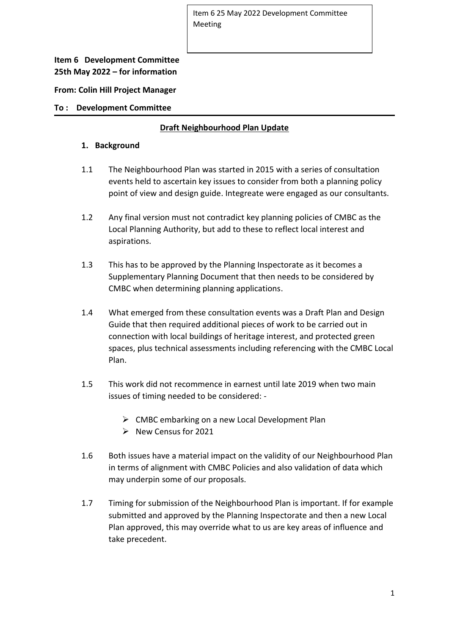# **Item 6 Development Committee 25th May 2022 – for information**

**From: Colin Hill Project Manager**

#### **To : Development Committee**

# **Draft Neighbourhood Plan Update**

#### **1. Background**

- 1.1 The Neighbourhood Plan was started in 2015 with a series of consultation events held to ascertain key issues to consider from both a planning policy point of view and design guide. Integreate were engaged as our consultants.
- 1.2 Any final version must not contradict key planning policies of CMBC as the Local Planning Authority, but add to these to reflect local interest and aspirations.
- 1.3 This has to be approved by the Planning Inspectorate as it becomes a Supplementary Planning Document that then needs to be considered by CMBC when determining planning applications.
- 1.4 What emerged from these consultation events was a Draft Plan and Design Guide that then required additional pieces of work to be carried out in connection with local buildings of heritage interest, and protected green spaces, plus technical assessments including referencing with the CMBC Local Plan.
- 1.5 This work did not recommence in earnest until late 2019 when two main issues of timing needed to be considered: -
	- ➢ CMBC embarking on a new Local Development Plan
	- $\triangleright$  New Census for 2021
- 1.6 Both issues have a material impact on the validity of our Neighbourhood Plan in terms of alignment with CMBC Policies and also validation of data which may underpin some of our proposals.
- 1.7 Timing for submission of the Neighbourhood Plan is important. If for example submitted and approved by the Planning Inspectorate and then a new Local Plan approved, this may override what to us are key areas of influence and take precedent.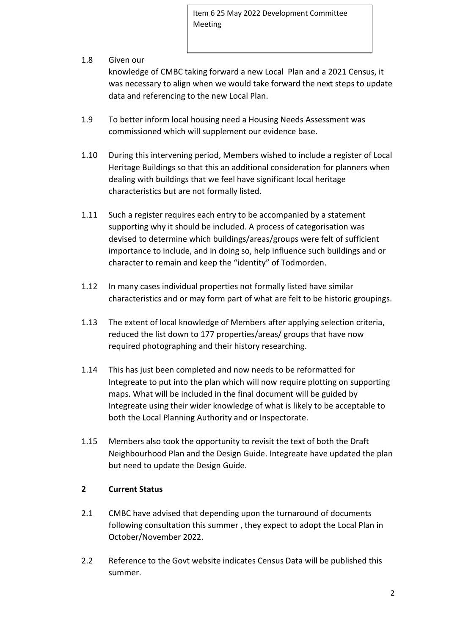# 1.8 Given our

knowledge of CMBC taking forward a new Local Plan and a 2021 Census, it was necessary to align when we would take forward the next steps to update data and referencing to the new Local Plan.

- 1.9 To better inform local housing need a Housing Needs Assessment was commissioned which will supplement our evidence base.
- 1.10 During this intervening period, Members wished to include a register of Local Heritage Buildings so that this an additional consideration for planners when dealing with buildings that we feel have significant local heritage characteristics but are not formally listed.
- 1.11 Such a register requires each entry to be accompanied by a statement supporting why it should be included. A process of categorisation was devised to determine which buildings/areas/groups were felt of sufficient importance to include, and in doing so, help influence such buildings and or character to remain and keep the "identity" of Todmorden.
- 1.12 In many cases individual properties not formally listed have similar characteristics and or may form part of what are felt to be historic groupings.
- 1.13 The extent of local knowledge of Members after applying selection criteria, reduced the list down to 177 properties/areas/ groups that have now required photographing and their history researching.
- 1.14 This has just been completed and now needs to be reformatted for Integreate to put into the plan which will now require plotting on supporting maps. What will be included in the final document will be guided by Integreate using their wider knowledge of what is likely to be acceptable to both the Local Planning Authority and or Inspectorate.
- 1.15 Members also took the opportunity to revisit the text of both the Draft Neighbourhood Plan and the Design Guide. Integreate have updated the plan but need to update the Design Guide.

# **2 Current Status**

- 2.1 CMBC have advised that depending upon the turnaround of documents following consultation this summer , they expect to adopt the Local Plan in October/November 2022.
- 2.2 Reference to the Govt website indicates Census Data will be published this summer.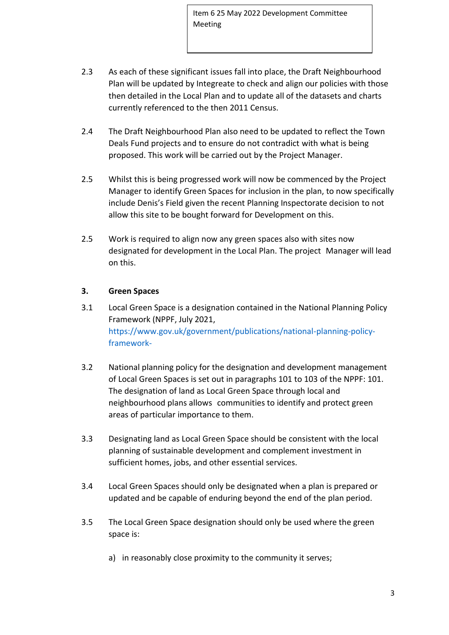- 2.3 As each of these significant issues fall into place, the Draft Neighbourhood Plan will be updated by Integreate to check and align our policies with those then detailed in the Local Plan and to update all of the datasets and charts currently referenced to the then 2011 Census.
- 2.4 The Draft Neighbourhood Plan also need to be updated to reflect the Town Deals Fund projects and to ensure do not contradict with what is being proposed. This work will be carried out by the Project Manager.
- 2.5 Whilst this is being progressed work will now be commenced by the Project Manager to identify Green Spaces for inclusion in the plan, to now specifically include Denis's Field given the recent Planning Inspectorate decision to not allow this site to be bought forward for Development on this.
- 2.5 Work is required to align now any green spaces also with sites now designated for development in the Local Plan. The project Manager will lead on this.

## **3. Green Spaces**

- 3.1 Local Green Space is a designation contained in the National Planning Policy Framework (NPPF, July 2021, [https://www.gov.uk/government/publications/national-planning-policy](https://www.gov.uk/government/publications/national-planning-policy-%20%20%20%20%20%20%20%20%09framework-)[framework-](https://www.gov.uk/government/publications/national-planning-policy-%20%20%20%20%20%20%20%20%09framework-)
- 3.2 National planning policy for the designation and development management of Local Green Spaces is set out in paragraphs 101 to 103 of the NPPF: 101. The designation of land as Local Green Space through local and neighbourhood plans allows communities to identify and protect green areas of particular importance to them.
- 3.3 Designating land as Local Green Space should be consistent with the local planning of sustainable development and complement investment in sufficient homes, jobs, and other essential services.
- 3.4 Local Green Spaces should only be designated when a plan is prepared or updated and be capable of enduring beyond the end of the plan period.
- 3.5 The Local Green Space designation should only be used where the green space is:
	- a) in reasonably close proximity to the community it serves;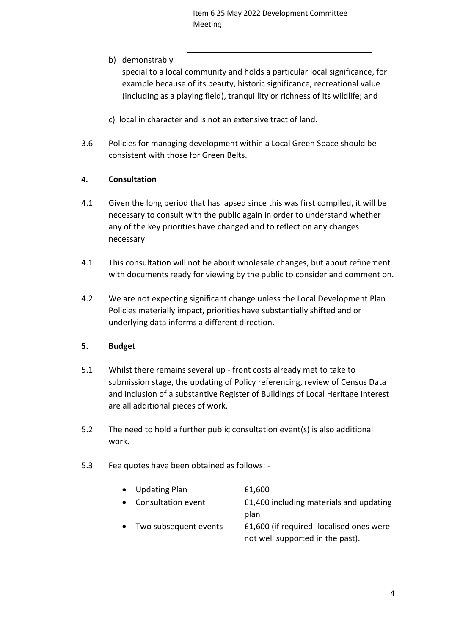b) demonstrably

special to a local community and holds a particular local significance, for example because of its beauty, historic significance, recreational value (including as a playing field), tranquillity or richness of its wildlife; and

- c) local in character and is not an extensive tract of land.
- 3.6 Policies for managing development within a Local Green Space should be consistent with those for Green Belts.

# **4. Consultation**

- 4.1 Given the long period that has lapsed since this was first compiled, it will be necessary to consult with the public again in order to understand whether any of the key priorities have changed and to reflect on any changes necessary.
- 4.1 This consultation will not be about wholesale changes, but about refinement with documents ready for viewing by the public to consider and comment on.
- 4.2 We are not expecting significant change unless the Local Development Plan Policies materially impact, priorities have substantially shifted and or underlying data informs a different direction.

## **5. Budget**

- 5.1 Whilst there remains several up front costs already met to take to submission stage, the updating of Policy referencing, review of Census Data and inclusion of a substantive Register of Buildings of Local Heritage Interest are all additional pieces of work.
- 5.2 The need to hold a further public consultation event(s) is also additional work.
- 5.3 Fee quotes have been obtained as follows: -

| • Updating Plan      | £1,600                                  |  |  |  |  |  |  |
|----------------------|-----------------------------------------|--|--|--|--|--|--|
| • Consultation event | £1,400 including materials and updating |  |  |  |  |  |  |
|                      | plan                                    |  |  |  |  |  |  |
|                      |                                         |  |  |  |  |  |  |

Two subsequent events  $\qquad 21.600$  (if required- localised ones were not well supported in the past).